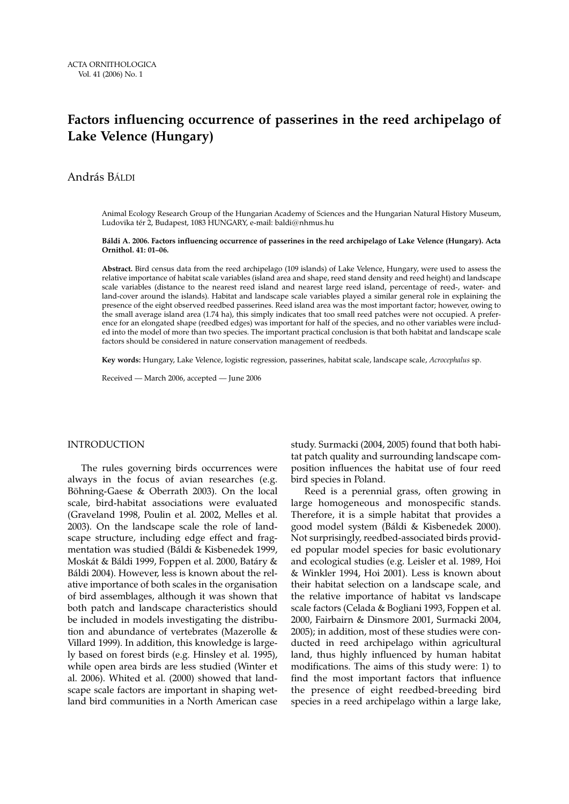# **Factors influencing occurrence of passerines in the reed archipelago of Lake Velence (Hungary)**

András BÁLDI

Animal Ecology Research Group of the Hungarian Academy of Sciences and the Hungarian Natural History Museum, Ludovika tér 2, Budapest, 1083 HUNGARY, e-mail: baldi@nhmus.hu

#### **Báldi A. 2006. Factors influencing occurrence of passerines in the reed archipelago of Lake Velence (Hungary). Acta Ornithol. 41: 01–06.**

**Abstract.** Bird census data from the reed archipelago (109 islands) of Lake Velence, Hungary, were used to assess the relative importance of habitat scale variables (island area and shape, reed stand density and reed height) and landscape scale variables (distance to the nearest reed island and nearest large reed island, percentage of reed-, water- and land-cover around the islands). Habitat and landscape scale variables played a similar general role in explaining the presence of the eight observed reedbed passerines. Reed island area was the most important factor; however, owing to the small average island area (1.74 ha), this simply indicates that too small reed patches were not occupied. A preference for an elongated shape (reedbed edges) was important for half of the species, and no other variables were included into the model of more than two species. The important practical conclusion is that both habitat and landscape scale factors should be considered in nature conservation management of reedbeds.

**Key words:** Hungary, Lake Velence, logistic regression, passerines, habitat scale, landscape scale, *Acrocephalus* sp.

Received — March 2006, accepted — June 2006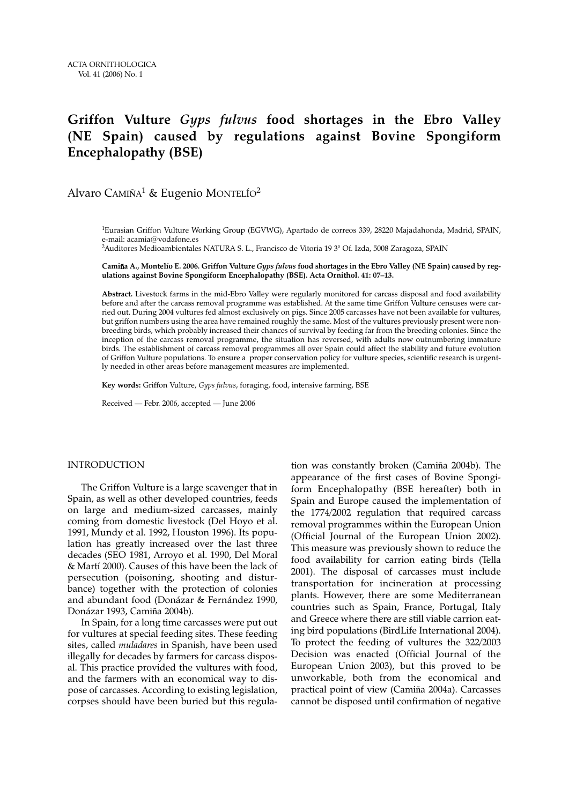# **Griffon Vulture** *Gyps fulvus* **food shortages in the Ebro Valley (NE Spain) caused by regulations against Bovine Spongiform Encephalopathy (BSE)**

Alvaro CAMIÑA<sup>1</sup> & Eugenio MONTELÍO<sup>2</sup>

1Eurasian Griffon Vulture Working Group (EGVWG), Apartado de correos 339, 28220 Majadahonda, Madrid, SPAIN, e-mail: acamia@vodafone.es 2Auditores Medioambientales NATURA S. L., Francisco de Vitoria 19 3° Of. Izda, 5008 Zaragoza, SPAIN

Camiña A., Montelío E. 2006. Griffon Vulture *Gyps fulvus* food shortages in the Ebro Valley (NE Spain) caused by reg**ulations against Bovine Spongiform Encephalopathy (BSE). Acta Ornithol. 41: 07–13.**

**Abstract.** Livestock farms in the mid-Ebro Valley were regularly monitored for carcass disposal and food availability before and after the carcass removal programme was established. At the same time Griffon Vulture censuses were carried out. During 2004 vultures fed almost exclusively on pigs. Since 2005 carcasses have not been available for vultures, but griffon numbers using the area have remained roughly the same. Most of the vultures previously present were nonbreeding birds, which probably increased their chances of survival by feeding far from the breeding colonies. Since the inception of the carcass removal programme, the situation has reversed, with adults now outnumbering immature birds. The establishment of carcass removal programmes all over Spain could affect the stability and future evolution of Griffon Vulture populations. To ensure a proper conservation policy for vulture species, scientific research is urgently needed in other areas before management measures are implemented.

**Key words:** Griffon Vulture, *Gyps fulvus*, foraging, food, intensive farming, BSE

Received — Febr. 2006, accepted — June 2006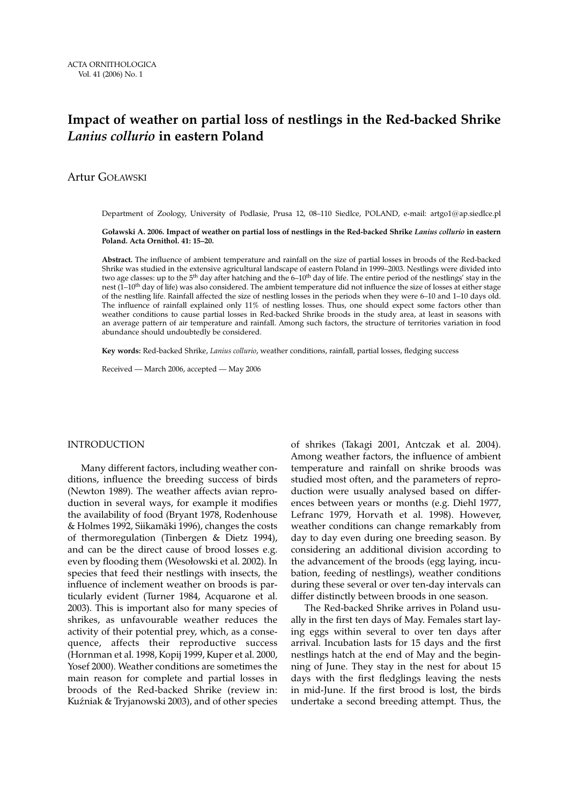## **Impact of weather on partial loss of nestlings in the Red-backed Shrike** *Lanius collurio* **in eastern Poland**

### Artur GOŁAWSKI

Department of Zoology, University of Podlasie, Prusa 12, 08–110 Siedlce, POLAND, e-mail: artgo1@ap.siedlce.pl

#### **Goławski A. 2006. Impact of weather on partial loss of nestlings in the Red-backed Shrike** *Lanius collurio* **in eastern Poland. Acta Ornithol. 41: 15–20.**

**Abstract.** The influence of ambient temperature and rainfall on the size of partial losses in broods of the Red-backed Shrike was studied in the extensive agricultural landscape of eastern Poland in 1999–2003. Nestlings were divided into two age classes: up to the 5<sup>th</sup> day after hatching and the 6–10<sup>th</sup> day of life. The entire period of the nestlings' stay in the nest  $(1-10<sup>th</sup>$  day of life) was also considered. The ambient temperature did not influence the size of losses at either stage of the nestling life. Rainfall affected the size of nestling losses in the periods when they were 6–10 and 1–10 days old. The influence of rainfall explained only 11% of nestling losses. Thus, one should expect some factors other than weather conditions to cause partial losses in Red-backed Shrike broods in the study area, at least in seasons with an average pattern of air temperature and rainfall. Among such factors, the structure of territories variation in food abundance should undoubtedly be considered.

**Key words:** Red-backed Shrike, *Lanius collurio*, weather conditions, rainfall, partial losses, fledging success

Received — March 2006, accepted — May 2006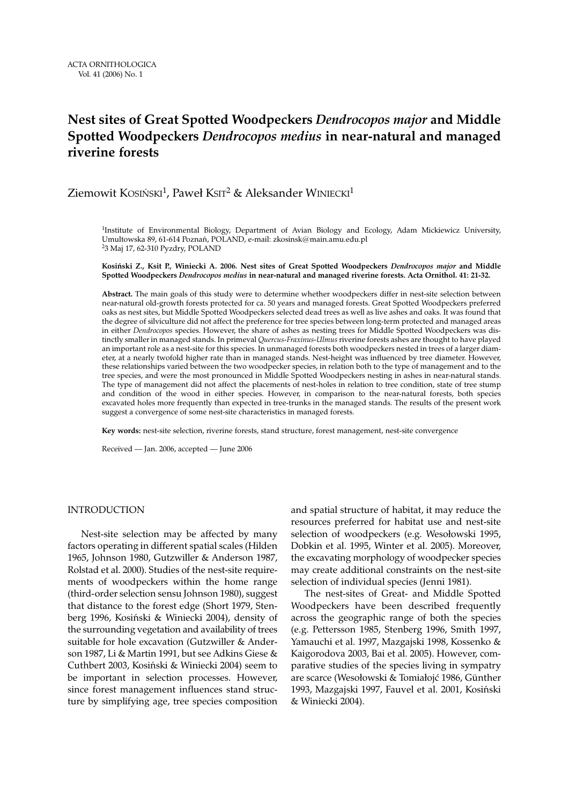# **Nest sites of Great Spotted Woodpeckers** *Dendrocopos major* **and Middle Spotted Woodpeckers** *Dendrocopos medius* **in near-natural and managed riverine forests**

Ziemowit KOSIŃSKI<sup>1</sup>, Paweł KSIT<sup>2</sup> & Aleksander WINIECKI<sup>1</sup>

<sup>1</sup>Institute of Environmental Biology, Department of Avian Biology and Ecology, Adam Mickiewicz University, Umultowska 89, 61-614 Poznań, POLAND, e-mail: zkosinsk@main.amu.edu.pl 23 Maj 17, 62-310 Pyzdry, POLAND

#### **Kosiński Z., Ksit P., Winiecki A. 2006. Nest sites of Great Spotted Woodpeckers** *Dendrocopos major* **and Middle Spotted Woodpeckers** *Dendrocopos medius* **in near-natural and managed riverine forests. Acta Ornithol. 41: 21-32.**

**Abstract.** The main goals of this study were to determine whether woodpeckers differ in nest-site selection between near-natural old-growth forests protected for ca. 50 years and managed forests. Great Spotted Woodpeckers preferred oaks as nest sites, but Middle Spotted Woodpeckers selected dead trees as well as live ashes and oaks. It was found that the degree of silviculture did not affect the preference for tree species between long-term protected and managed areas in either *Dendrocopos* species. However, the share of ashes as nesting trees for Middle Spotted Woodpeckers was distinctly smaller in managed stands. In primeval *Quercus-Fraxinus-Ulmus* riverine forests ashes are thought to have played an important role as a nest-site for this species. In unmanaged forests both woodpeckers nested in trees of a larger diameter, at a nearly twofold higher rate than in managed stands. Nest-height was influenced by tree diameter. However, these relationships varied between the two woodpecker species, in relation both to the type of management and to the tree species, and were the most pronounced in Middle Spotted Woodpeckers nesting in ashes in near-natural stands. The type of management did not affect the placements of nest-holes in relation to tree condition, state of tree stump and condition of the wood in either species. However, in comparison to the near-natural forests, both species excavated holes more frequently than expected in tree-trunks in the managed stands. The results of the present work suggest a convergence of some nest-site characteristics in managed forests.

**Key words:** nest-site selection, riverine forests, stand structure, forest management, nest-site convergence

Received — Jan. 2006, accepted — June 2006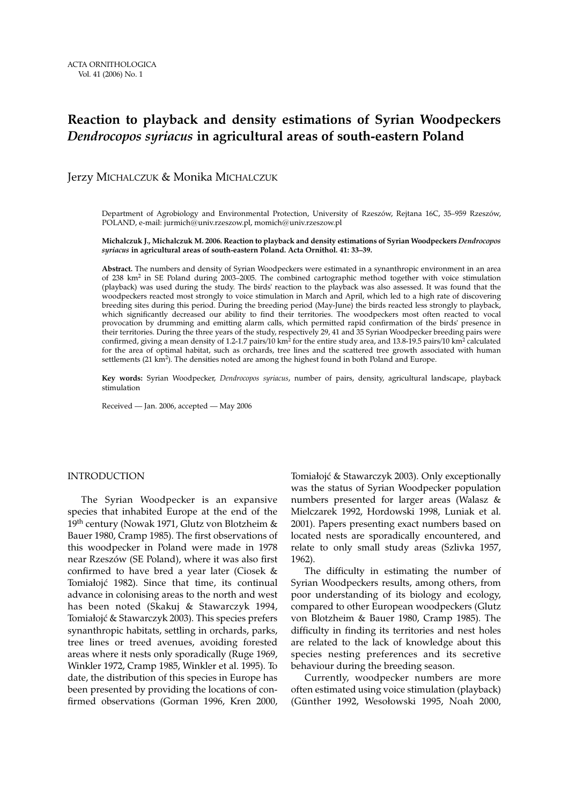# **Reaction to playback and density estimations of Syrian Woodpeckers** *Dendrocopos syriacus* **in agricultural areas of south-eastern Poland**

### Jerzy MICHALCZUK & Monika MICHALCZUK

Department of Agrobiology and Environmental Protection, University of Rzeszów, Rejtana 16C, 35–959 Rzeszów, POLAND, e-mail: jurmich@univ.rzeszow.pl, momich@univ.rzeszow.pl

#### **Michalczuk J., Michalczuk M. 2006. Reaction to playback and density estimations of Syrian Woodpeckers** *Dendrocopos syriacus* **in agricultural areas of south-eastern Poland. Acta Ornithol. 41: 33–39.**

**Abstract.** The numbers and density of Syrian Woodpeckers were estimated in a synanthropic environment in an area of 238 km<sup>2</sup> in SE Poland during 2003–2005. The combined cartographic method together with voice stimulation (playback) was used during the study. The birds' reaction to the playback was also assessed. It was found that the woodpeckers reacted most strongly to voice stimulation in March and April, which led to a high rate of discovering breeding sites during this period. During the breeding period (May-June) the birds reacted less strongly to playback, which significantly decreased our ability to find their territories. The woodpeckers most often reacted to vocal provocation by drumming and emitting alarm calls, which permitted rapid confirmation of the birds' presence in their territories. During the three years of the study, respectively 29, 41 and 35 Syrian Woodpecker breeding pairs were confirmed, giving a mean density of 1.2-1.7 pairs/10 km<sup>2</sup> for the entire study area, and 13.8-19.5 pairs/10 km<sup>2</sup> calculated for the area of optimal habitat, such as orchards, tree lines and the scattered tree growth associated with human settlements (21 km<sup>2</sup>). The densities noted are among the highest found in both Poland and Europe.

**Key words:** Syrian Woodpecker, *Dendrocopos syriacus*, number of pairs, density, agricultural landscape, playback stimulation

Received — Jan. 2006, accepted — May 2006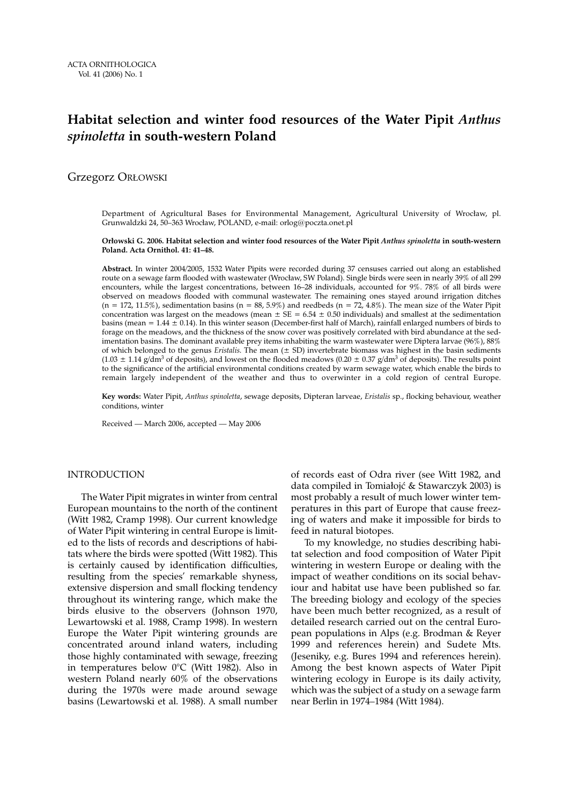## **Habitat selection and winter food resources of the Water Pipit** *Anthus spinoletta* **in south-western Poland**

Grzegorz ORŁOWSKI

Department of Agricultural Bases for Environmental Management, Agricultural University of Wrocław, pl. Grunwaldzki 24, 50–363 Wrocław, POLAND, e-mail: orlog@poczta.onet.pl

#### **Orłowski G. 2006. Habitat selection and winter food resources of the Water Pipit** *Anthus spinoletta* **in south-western Poland. Acta Ornithol. 41: 41–48.**

**Abstract.** In winter 2004/2005, 1532 Water Pipits were recorded during 37 censuses carried out along an established route on a sewage farm flooded with wastewater (Wrocław, SW Poland). Single birds were seen in nearly 39% of all 299 encounters, while the largest concentrations, between 16–28 individuals, accounted for 9%. 78% of all birds were observed on meadows flooded with communal wastewater. The remaining ones stayed around irrigation ditches  $(n = 172, 11.5\%)$ , sedimentation basins  $(n = 88, 5.9\%)$  and reedbeds  $(n = 72, 4.8\%)$ . The mean size of the Water Pipit concentration was largest on the meadows (mean  $\pm$  SE = 6.54  $\pm$  0.50 individuals) and smallest at the sedimentation basins (mean =  $1.44 \pm 0.14$ ). In this winter season (December-first half of March), rainfall enlarged numbers of birds to forage on the meadows, and the thickness of the snow cover was positively correlated with bird abundance at the sedimentation basins. The dominant available prey items inhabiting the warm wastewater were Diptera larvae (96%), 88% of which belonged to the genus *Eristalis*. The mean (± SD) invertebrate biomass was highest in the basin sediments  $(1.03 \pm 1.14 \text{ g/dm}^3)$  of deposits), and lowest on the flooded meadows  $(0.20 \pm 0.37 \text{ g/dm}^3)$  of deposits). The results point to the significance of the artificial environmental conditions created by warm sewage water, which enable the birds to remain largely independent of the weather and thus to overwinter in a cold region of central Europe.

**Key words:** Water Pipit, *Anthus spinoletta*, sewage deposits, Dipteran larveae, *Eristalis* sp., flocking behaviour, weather conditions, winter

Received — March 2006, accepted — May 2006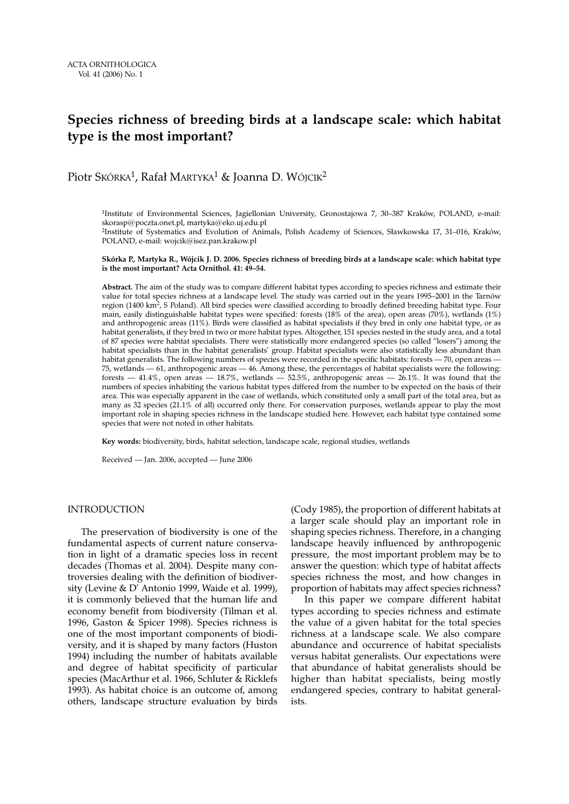# **Species richness of breeding birds at a landscape scale: which habitat type is the most important?**

### Piotr Skórka<sup>1</sup>, Rafał MARTYKA<sup>1</sup> & Joanna D. Wójcik<sup>2</sup>

1Institute of Environmental Sciences, Jagiellonian University, Gronostajowa 7, 30–387 Kraków, POLAND, e-mail: skorasp@poczta.onet.pl, martyka@eko.uj.edu.pl

2Institute of Systematics and Evolution of Animals, Polish Academy of Sciences, Sławkowska 17, 31–016, Kraków, POLAND, e-mail: wojcik@isez.pan.krakow.pl

#### **Skórka P., Martyka R., Wójcik J. D. 2006. Species richness of breeding birds at a landscape scale: which habitat type is the most important? Acta Ornithol. 41: 49–54.**

**Abstract.** The aim of the study was to compare different habitat types according to species richness and estimate their value for total species richness at a landscape level. The study was carried out in the years 1995–2001 in the Tarnów region (1400 km<sup>2</sup>, S Poland). All bird species were classified according to broadly defined breeding habitat type. Four main, easily distinguishable habitat types were specified: forests (18% of the area), open areas (70%), wetlands (1%) and anthropogenic areas (11%). Birds were classified as habitat specialists if they bred in only one habitat type, or as habitat generalists, if they bred in two or more habitat types. Altogether, 151 species nested in the study area, and a total of 87 species were habitat specialists. There were statistically more endangered species (so called "losers") among the habitat specialists than in the habitat generalists' group. Habitat specialists were also statistically less abundant than habitat generalists. The following numbers of species were recorded in the specific habitats: forests — 70, open areas — 75, wetlands — 61, anthropogenic areas — 46. Among these, the percentages of habitat specialists were the following: forests — 41.4%, open areas — 18.7%, wetlands — 52.5%, anthropogenic areas — 26.1%. It was found that the numbers of species inhabiting the various habitat types differed from the number to be expected on the basis of their area. This was especially apparent in the case of wetlands, which constituted only a small part of the total area, but as many as 32 species (21.1% of all) occurred only there. For conservation purposes, wetlands appear to play the most important role in shaping species richness in the landscape studied here. However, each habitat type contained some species that were not noted in other habitats.

**Key words:** biodiversity, birds, habitat selection, landscape scale, regional studies, wetlands

Received — Jan. 2006, accepted — June 2006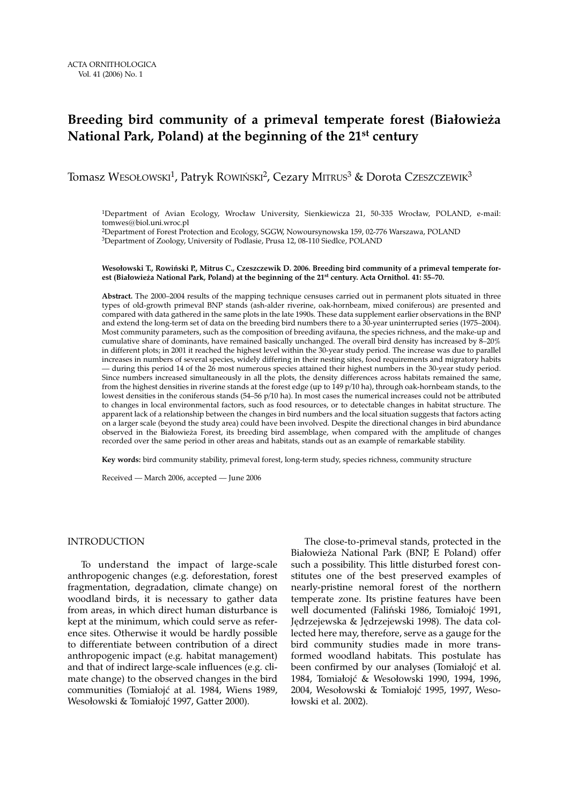# **Breeding bird community of a primeval temperate forest (Białowieża National Park, Poland) at the beginning of the 21st century**

### Tomasz WESOŁOWSKI<sup>1</sup>, Patryk ROWIŃSKI<sup>2</sup>, Cezary MITRUS<sup>3</sup> & Dorota CzESZCZEWIK<sup>3</sup>

1Department of Avian Ecology, Wrocław University, Sienkiewicza 21, 50-335 Wrocław, POLAND, e-mail: tomwes@biol.uni.wroc.pl

2Department of Forest Protection and Ecology, SGGW, Nowoursynowska 159, 02-776 Warszawa, POLAND 3Department of Zoology, University of Podlasie, Prusa 12, 08-110 Siedlce, POLAND

#### **Wesołowski T., Rowiński P., Mitrus C., Czeszczewik D. 2006. Breeding bird community of a primeval temperate forest (Białowieża National Park, Poland) at the beginning of the 21st century. Acta Ornithol. 41: 55–70.**

**Abstract.** The 2000–2004 results of the mapping technique censuses carried out in permanent plots situated in three types of old-growth primeval BNP stands (ash-alder riverine, oak-hornbeam, mixed coniferous) are presented and compared with data gathered in the same plots in the late 1990s. These data supplement earlier observations in the BNP and extend the long-term set of data on the breeding bird numbers there to a 30-year uninterrupted series (1975–2004). Most community parameters, such as the composition of breeding avifauna, the species richness, and the make-up and cumulative share of dominants, have remained basically unchanged. The overall bird density has increased by 8–20% in different plots; in 2001 it reached the highest level within the 30-year study period. The increase was due to parallel increases in numbers of several species, widely differing in their nesting sites, food requirements and migratory habits — during this period 14 of the 26 most numerous species attained their highest numbers in the 30-year study period. Since numbers increased simultaneously in all the plots, the density differences across habitats remained the same, from the highest densities in riverine stands at the forest edge (up to 149 p/10 ha), through oak-hornbeam stands, to the lowest densities in the coniferous stands (54–56 p/10 ha). In most cases the numerical increases could not be attributed to changes in local environmental factors, such as food resources, or to detectable changes in habitat structure. The apparent lack of a relationship between the changes in bird numbers and the local situation suggests that factors acting on a larger scale (beyond the study area) could have been involved. Despite the directional changes in bird abundance observed in the Białowieża Forest, its breeding bird assemblage, when compared with the amplitude of changes recorded over the same period in other areas and habitats, stands out as an example of remarkable stability.

**Key words:** bird community stability, primeval forest, long-term study, species richness, community structure

Received — March 2006, accepted — June 2006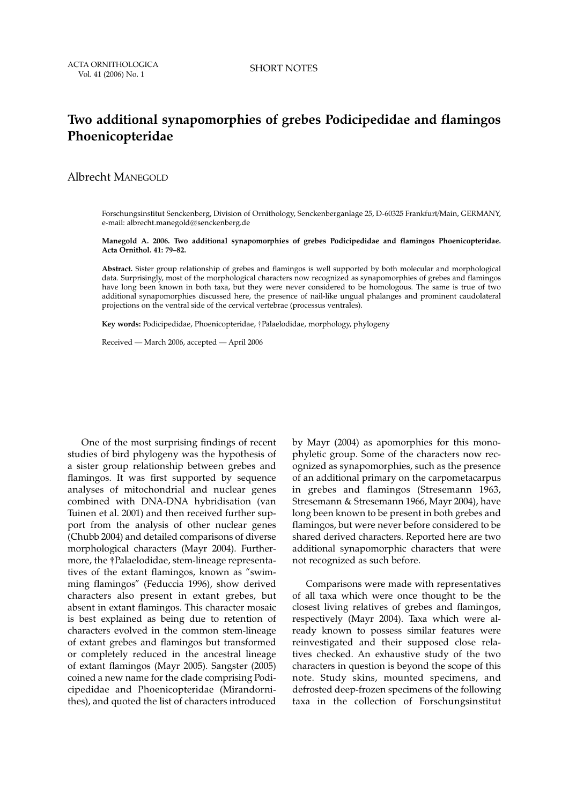ACTA ORNITHOLOGICA Vol. 41 (2006) No. 1 SHORT NOTES

# **Two additional synapomorphies of grebes Podicipedidae and flamingos Phoenicopteridae**

### Albrecht MANEGOLD

Forschungsinstitut Senckenberg, Division of Ornithology, Senckenberganlage 25, D-60325 Frankfurt/Main, GERMANY, e-mail: albrecht.manegold@senckenberg.de

**Manegold A. 2006. Two additional synapomorphies of grebes Podicipedidae and flamingos Phoenicopteridae. Acta Ornithol. 41: 79–82.**

**Abstract.** Sister group relationship of grebes and flamingos is well supported by both molecular and morphological data. Surprisingly, most of the morphological characters now recognized as synapomorphies of grebes and flamingos have long been known in both taxa, but they were never considered to be homologous. The same is true of two additional synapomorphies discussed here, the presence of nail-like ungual phalanges and prominent caudolateral projections on the ventral side of the cervical vertebrae (processus ventrales).

**Key words:** Podicipedidae, Phoenicopteridae, †Palaelodidae, morphology, phylogeny

Received — March 2006, accepted — April 2006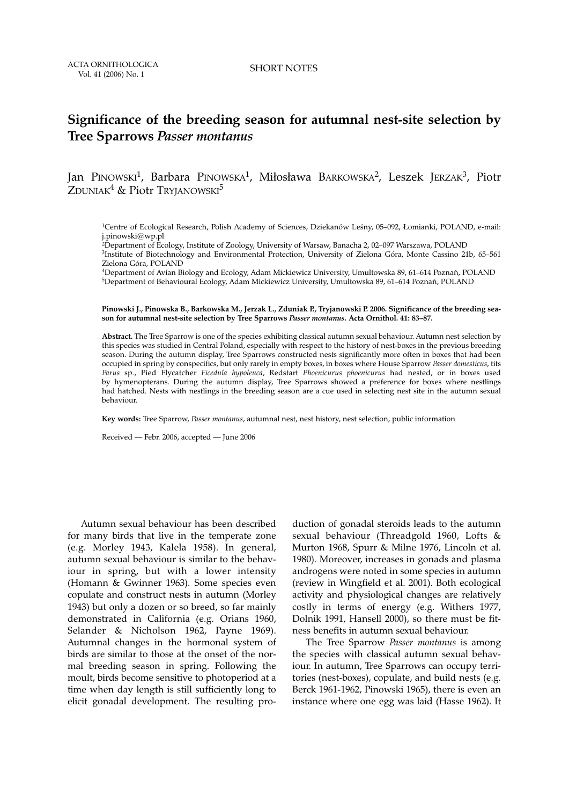## **Significance of the breeding season for autumnal nest-site selection by Tree Sparrows** *Passer montanus*

Jan PINOWSKI<sup>1</sup>, Barbara PINOWSKA<sup>1</sup>, Miłosława BARKOWSKA<sup>2</sup>, Leszek JERZAK<sup>3</sup>, Piotr ZDUNIAK<sup>4</sup> & Piotr TRYIANOWSKI<sup>5</sup>

1Centre of Ecological Research, Polish Academy of Sciences, Dziekanów Leśny, 05–092, Łomianki, POLAND, e-mail: j.pinowski@wp.pl

2Department of Ecology, Institute of Zoology, University of Warsaw, Banacha 2, 02–097 Warszawa, POLAND 3Institute of Biotechnology and Environmental Protection, University of Zielona Góra, Monte Cassino 21b, 65–561 Zielona Góra, POLAND

4Department of Avian Biology and Ecology, Adam Mickiewicz University, Umultowska 89, 61–614 Poznań, POLAND 5Department of Behavioural Ecology, Adam Mickiewicz University, Umultowska 89, 61–614 Poznań, POLAND

**Pinowski J., Pinowska B., Barkowska M., Jerzak L., Zduniak P., Tryjanowski P. 2006. Significance of the breeding season for autumnal nest-site selection by Tree Sparrows** *Passer montanus***. Acta Ornithol. 41: 83–87.**

**Abstract.** The Tree Sparrow is one of the species exhibiting classical autumn sexual behaviour. Autumn nest selection by this species was studied in Central Poland, especially with respect to the history of nest-boxes in the previous breeding season. During the autumn display, Tree Sparrows constructed nests significantly more often in boxes that had been occupied in spring by conspecifics, but only rarely in empty boxes, in boxes where House Sparrow *Passer domesticus*, tits *Parus* sp., Pied Flycatcher *Ficedula hypoleuca*, Redstart *Phoenicurus phoenicurus* had nested, or in boxes used by hymenopterans. During the autumn display, Tree Sparrows showed a preference for boxes where nestlings had hatched. Nests with nestlings in the breeding season are a cue used in selecting nest site in the autumn sexual behaviour.

**Key words:** Tree Sparrow, *Passer montanus*, autumnal nest, nest history, nest selection, public information

Received — Febr. 2006, accepted — June 2006